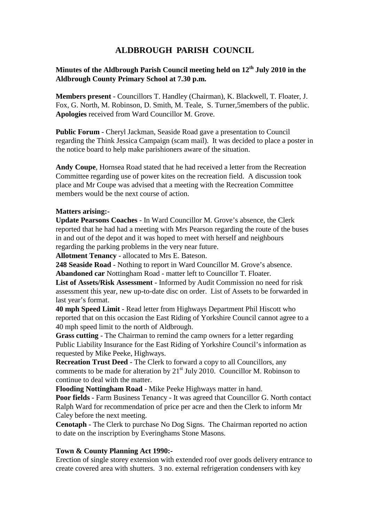# **ALDBROUGH PARISH COUNCIL**

## **Minutes of the Aldbrough Parish Council meeting held on 12th July 2010 in the Aldbrough County Primary School at 7.30 p.m.**

**Members present** - Councillors T. Handley (Chairman), K. Blackwell, T. Floater, J. Fox, G. North, M. Robinson, D. Smith, M. Teale, S. Turner,5members of the public. **Apologies** received from Ward Councillor M. Grove.

**Public Forum** - Cheryl Jackman, Seaside Road gave a presentation to Council regarding the Think Jessica Campaign (scam mail). It was decided to place a poster in the notice board to help make parishioners aware of the situation.

**Andy Coupe**, Hornsea Road stated that he had received a letter from the Recreation Committee regarding use of power kites on the recreation field. A discussion took place and Mr Coupe was advised that a meeting with the Recreation Committee members would be the next course of action.

#### **Matters arising:-**

**Update Pearsons Coaches** - In Ward Councillor M. Grove's absence, the Clerk reported that he had had a meeting with Mrs Pearson regarding the route of the buses in and out of the depot and it was hoped to meet with herself and neighbours regarding the parking problems in the very near future.

**Allotment Tenancy** - allocated to Mrs E. Bateson.

**248 Seaside Road** - Nothing to report in Ward Councillor M. Grove's absence. **Abandoned car** Nottingham Road - matter left to Councillor T. Floater.

**List of Assets/Risk Assessment** - Informed by Audit Commission no need for risk assessment this year, new up-to-date disc on order. List of Assets to be forwarded in last year's format.

**40 mph Speed Limit** - Read letter from Highways Department Phil Hiscott who reported that on this occasion the East Riding of Yorkshire Council cannot agree to a 40 mph speed limit to the north of Aldbrough.

**Grass cutting** - The Chairman to remind the camp owners for a letter regarding Public Liability Insurance for the East Riding of Yorkshire Council's information as requested by Mike Peeke, Highways.

**Recreation Trust Deed** - The Clerk to forward a copy to all Councillors, any comments to be made for alteration by  $21<sup>st</sup>$  July 2010. Councillor M. Robinson to continue to deal with the matter.

**Flooding Nottingham Road** - Mike Peeke Highways matter in hand.

**Poor fields** - Farm Business Tenancy - It was agreed that Councillor G. North contact Ralph Ward for recommendation of price per acre and then the Clerk to inform Mr Caley before the next meeting.

**Cenotaph** - The Clerk to purchase No Dog Signs. The Chairman reported no action to date on the inscription by Everinghams Stone Masons.

### **Town & County Planning Act 1990:-**

Erection of single storey extension with extended roof over goods delivery entrance to create covered area with shutters. 3 no. external refrigeration condensers with key